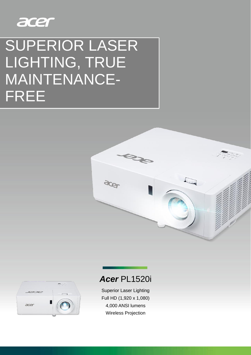

# SUPERIOR LASER LIGHTING, TRUE MAINTENANCE-FREE





# *Acer* PL1520i

Superior Laser Lighting Full HD (1,920 x 1,080) 4,000 ANSI lumens Wireless Projection